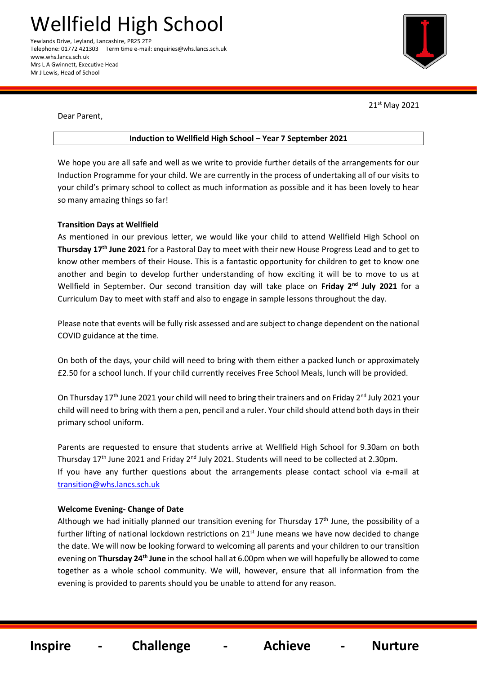Wellfield High School Yewlands Drive, Leyland, Lancashire, PR25 2TP Telephone: 01772 421303 Term time e-mail: enquiries@whs.lancs.sch.uk www.whs.lancs.sch.uk Mrs L A Gwinnett, Executive Head Mr J Lewis, Head of School



21st May 2021

֬֕֜֡

Dear Parent,

#### **Induction to Wellfield High School – Year 7 September 2021**

We hope you are all safe and well as we write to provide further details of the arrangements for our Induction Programme for your child. We are currently in the process of undertaking all of our visits to your child's primary school to collect as much information as possible and it has been lovely to hear so many amazing things so far!

### **Transition Days at Wellfield**

As mentioned in our previous letter, we would like your child to attend Wellfield High School on **Thursday 17th June 2021** for a Pastoral Day to meet with their new House Progress Lead and to get to know other members of their House. This is a fantastic opportunity for children to get to know one another and begin to develop further understanding of how exciting it will be to move to us at Wellfield in September. Our second transition day will take place on **Friday 2nd July 2021** for a Curriculum Day to meet with staff and also to engage in sample lessons throughout the day.

Please note that events will be fully risk assessed and are subject to change dependent on the national COVID guidance at the time.

On both of the days, your child will need to bring with them either a packed lunch or approximately £2.50 for a school lunch. If your child currently receives Free School Meals, lunch will be provided.

On Thursday 17<sup>th</sup> June 2021 your child will need to bring their trainers and on Friday 2<sup>nd</sup> July 2021 your child will need to bring with them a pen, pencil and a ruler. Your child should attend both days in their primary school uniform.

Parents are requested to ensure that students arrive at Wellfield High School for 9.30am on both Thursday 17<sup>th</sup> June 2021 and Friday 2<sup>nd</sup> July 2021. Students will need to be collected at 2.30pm. If you have any further questions about the arrangements please contact school via e-mail at [transition@whs.lancs.sch.uk](mailto:transition@whs.lancs.sch.uk)

### **Welcome Evening- Change of Date**

Although we had initially planned our transition evening for Thursday  $17<sup>th</sup>$  June, the possibility of a further lifting of national lockdown restrictions on 21<sup>st</sup> June means we have now decided to change the date. We will now be looking forward to welcoming all parents and your children to our transition evening on **Thursday 24th June** in the school hall at 6.00pm when we will hopefully be allowed to come together as a whole school community. We will, however, ensure that all information from the evening is provided to parents should you be unable to attend for any reason.

 **Inspire - Challenge - Achieve - Nurture**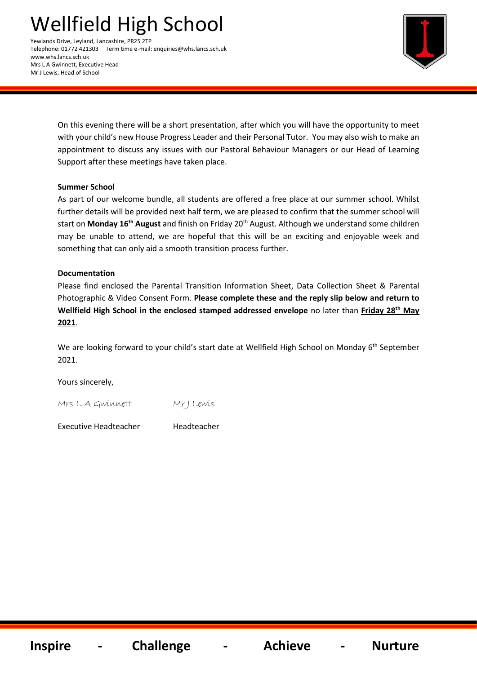# Wellfield High School

Yewlands Drive, Leyland, Lancashire, PR25 2TP Telephone: 01772 421303 Term time e-mail: enquiries@whs.lancs.sch.uk www.whs.lancs.sch.uk Mrs L A Gwinnett, Executive Head Mr J Lewis, Head of School



On this evening there will be a short presentation, after which you will have the opportunity to meet with your child's new House Progress Leader and their Personal Tutor. You may also wish to make an appointment to discuss any issues with our Pastoral Behaviour Managers or our Head of Learning Support after these meetings have taken place.

# **Summer School**

As part of our welcome bundle, all students are offered a free place at our summer school. Whilst further details will be provided next half term, we are pleased to confirm that the summer school will start on **Monday 16th August** and finish on Friday 20th August. Although we understand some children may be unable to attend, we are hopeful that this will be an exciting and enjoyable week and something that can only aid a smooth transition process further.

# **Documentation**

Please find enclosed the Parental Transition Information Sheet, Data Collection Sheet & Parental Photographic & Video Consent Form. **Please complete these and the reply slip below and return to Wellfield High School in the enclosed stamped addressed envelope** no later than **Friday 28 th May 2021**.

We are looking forward to your child's start date at Wellfield High School on Monday 6<sup>th</sup> September 2021.

Yours sincerely,

Mrs L A Gwinnett Mr J Lewis

Executive Headteacher Headteacher